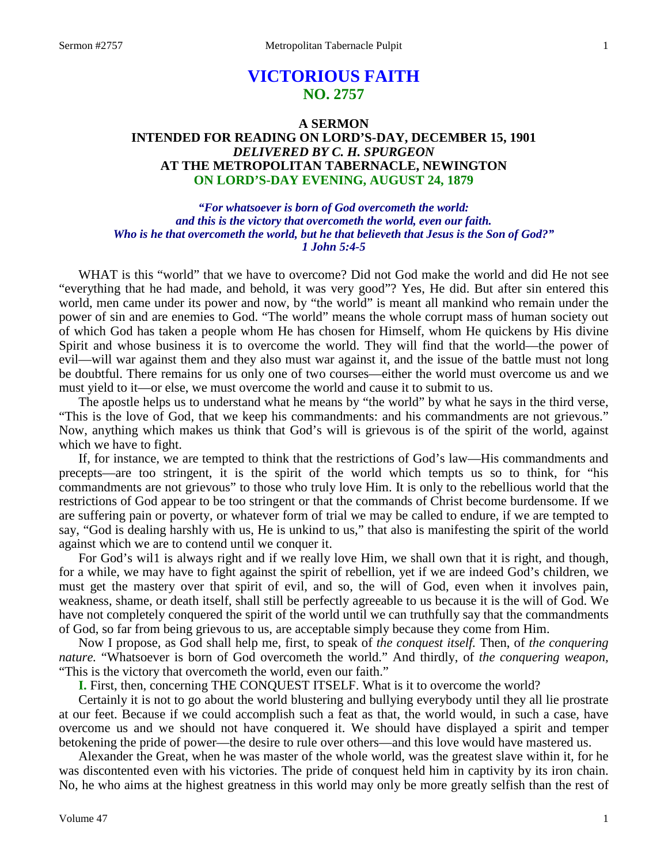## **VICTORIOUS FAITH NO. 2757**

## **A SERMON INTENDED FOR READING ON LORD'S-DAY, DECEMBER 15, 1901** *DELIVERED BY C. H. SPURGEON* **AT THE METROPOLITAN TABERNACLE, NEWINGTON ON LORD'S-DAY EVENING, AUGUST 24, 1879**

*"For whatsoever is born of God overcometh the world: and this is the victory that overcometh the world, even our faith. Who is he that overcometh the world, but he that believeth that Jesus is the Son of God?" 1 John 5:4-5*

WHAT is this "world" that we have to overcome? Did not God make the world and did He not see "everything that he had made, and behold, it was very good"? Yes, He did. But after sin entered this world, men came under its power and now, by "the world" is meant all mankind who remain under the power of sin and are enemies to God. "The world" means the whole corrupt mass of human society out of which God has taken a people whom He has chosen for Himself, whom He quickens by His divine Spirit and whose business it is to overcome the world. They will find that the world—the power of evil—will war against them and they also must war against it, and the issue of the battle must not long be doubtful. There remains for us only one of two courses—either the world must overcome us and we must yield to it—or else, we must overcome the world and cause it to submit to us.

The apostle helps us to understand what he means by "the world" by what he says in the third verse, "This is the love of God, that we keep his commandments: and his commandments are not grievous." Now, anything which makes us think that God's will is grievous is of the spirit of the world, against which we have to fight.

If, for instance, we are tempted to think that the restrictions of God's law—His commandments and precepts—are too stringent, it is the spirit of the world which tempts us so to think, for "his commandments are not grievous" to those who truly love Him. It is only to the rebellious world that the restrictions of God appear to be too stringent or that the commands of Christ become burdensome. If we are suffering pain or poverty, or whatever form of trial we may be called to endure, if we are tempted to say, "God is dealing harshly with us, He is unkind to us," that also is manifesting the spirit of the world against which we are to contend until we conquer it.

For God's wil1 is always right and if we really love Him, we shall own that it is right, and though, for a while, we may have to fight against the spirit of rebellion, yet if we are indeed God's children, we must get the mastery over that spirit of evil, and so, the will of God, even when it involves pain, weakness, shame, or death itself, shall still be perfectly agreeable to us because it is the will of God. We have not completely conquered the spirit of the world until we can truthfully say that the commandments of God, so far from being grievous to us, are acceptable simply because they come from Him.

Now I propose, as God shall help me, first, to speak of *the conquest itself.* Then, of *the conquering nature.* "Whatsoever is born of God overcometh the world." And thirdly, of *the conquering weapon,* "This is the victory that overcometh the world, even our faith."

**I.** First, then, concerning THE CONQUEST ITSELF. What is it to overcome the world?

Certainly it is not to go about the world blustering and bullying everybody until they all lie prostrate at our feet. Because if we could accomplish such a feat as that, the world would, in such a case, have overcome us and we should not have conquered it. We should have displayed a spirit and temper betokening the pride of power—the desire to rule over others—and this love would have mastered us.

Alexander the Great, when he was master of the whole world, was the greatest slave within it, for he was discontented even with his victories. The pride of conquest held him in captivity by its iron chain. No, he who aims at the highest greatness in this world may only be more greatly selfish than the rest of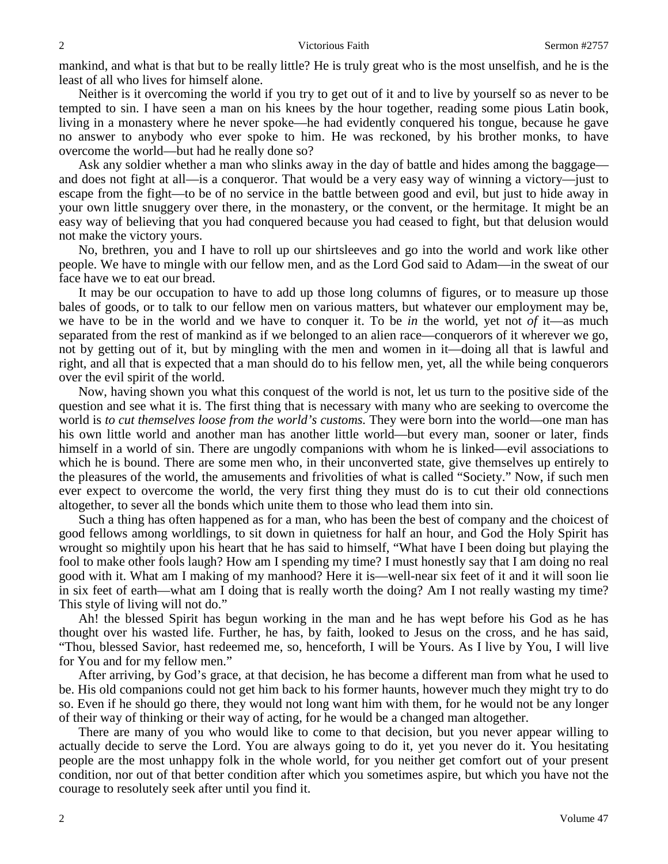mankind, and what is that but to be really little? He is truly great who is the most unselfish, and he is the least of all who lives for himself alone.

Neither is it overcoming the world if you try to get out of it and to live by yourself so as never to be tempted to sin. I have seen a man on his knees by the hour together, reading some pious Latin book, living in a monastery where he never spoke—he had evidently conquered his tongue, because he gave no answer to anybody who ever spoke to him. He was reckoned, by his brother monks, to have overcome the world—but had he really done so?

Ask any soldier whether a man who slinks away in the day of battle and hides among the baggage and does not fight at all—is a conqueror. That would be a very easy way of winning a victory—just to escape from the fight—to be of no service in the battle between good and evil, but just to hide away in your own little snuggery over there, in the monastery, or the convent, or the hermitage. It might be an easy way of believing that you had conquered because you had ceased to fight, but that delusion would not make the victory yours.

No, brethren, you and I have to roll up our shirtsleeves and go into the world and work like other people. We have to mingle with our fellow men, and as the Lord God said to Adam—in the sweat of our face have we to eat our bread.

It may be our occupation to have to add up those long columns of figures, or to measure up those bales of goods, or to talk to our fellow men on various matters, but whatever our employment may be, we have to be in the world and we have to conquer it. To be *in* the world, yet not *of* it—as much separated from the rest of mankind as if we belonged to an alien race—conquerors of it wherever we go, not by getting out of it, but by mingling with the men and women in it—doing all that is lawful and right, and all that is expected that a man should do to his fellow men, yet, all the while being conquerors over the evil spirit of the world.

Now, having shown you what this conquest of the world is not, let us turn to the positive side of the question and see what it is. The first thing that is necessary with many who are seeking to overcome the world is *to cut themselves loose from the world's customs.* They were born into the world—one man has his own little world and another man has another little world—but every man, sooner or later, finds himself in a world of sin. There are ungodly companions with whom he is linked—evil associations to which he is bound. There are some men who, in their unconverted state, give themselves up entirely to the pleasures of the world, the amusements and frivolities of what is called "Society." Now, if such men ever expect to overcome the world, the very first thing they must do is to cut their old connections altogether, to sever all the bonds which unite them to those who lead them into sin.

Such a thing has often happened as for a man, who has been the best of company and the choicest of good fellows among worldlings, to sit down in quietness for half an hour, and God the Holy Spirit has wrought so mightily upon his heart that he has said to himself, "What have I been doing but playing the fool to make other fools laugh? How am I spending my time? I must honestly say that I am doing no real good with it. What am I making of my manhood? Here it is—well-near six feet of it and it will soon lie in six feet of earth—what am I doing that is really worth the doing? Am I not really wasting my time? This style of living will not do."

Ah! the blessed Spirit has begun working in the man and he has wept before his God as he has thought over his wasted life. Further, he has, by faith, looked to Jesus on the cross, and he has said, "Thou, blessed Savior, hast redeemed me, so, henceforth, I will be Yours. As I live by You, I will live for You and for my fellow men."

After arriving, by God's grace, at that decision, he has become a different man from what he used to be. His old companions could not get him back to his former haunts, however much they might try to do so. Even if he should go there, they would not long want him with them, for he would not be any longer of their way of thinking or their way of acting, for he would be a changed man altogether.

There are many of you who would like to come to that decision, but you never appear willing to actually decide to serve the Lord. You are always going to do it, yet you never do it. You hesitating people are the most unhappy folk in the whole world, for you neither get comfort out of your present condition, nor out of that better condition after which you sometimes aspire, but which you have not the courage to resolutely seek after until you find it.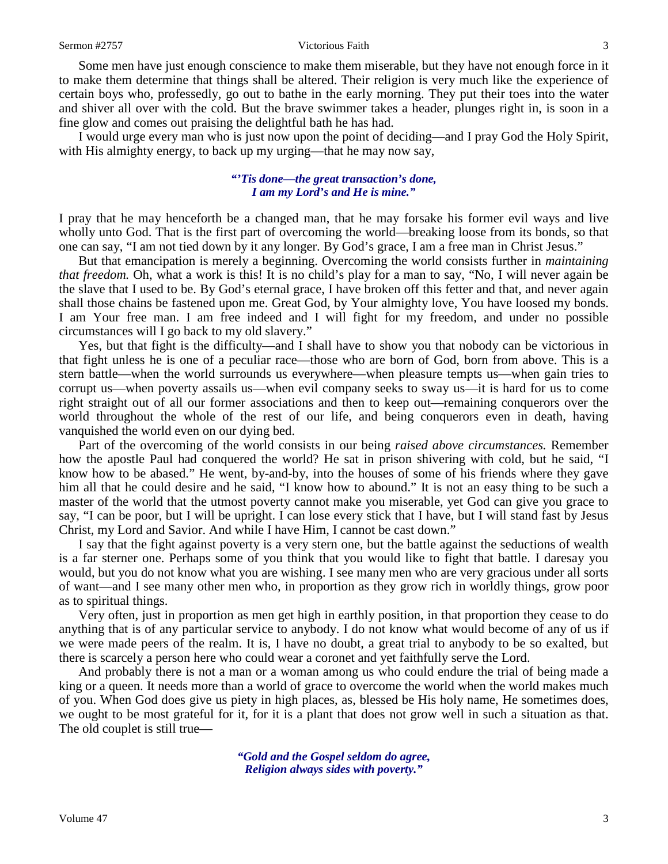Some men have just enough conscience to make them miserable, but they have not enough force in it to make them determine that things shall be altered. Their religion is very much like the experience of certain boys who, professedly, go out to bathe in the early morning. They put their toes into the water and shiver all over with the cold. But the brave swimmer takes a header, plunges right in, is soon in a fine glow and comes out praising the delightful bath he has had.

I would urge every man who is just now upon the point of deciding—and I pray God the Holy Spirit, with His almighty energy, to back up my urging—that he may now say,

## *"'Tis done—the great transaction's done, I am my Lord's and He is mine."*

I pray that he may henceforth be a changed man, that he may forsake his former evil ways and live wholly unto God. That is the first part of overcoming the world—breaking loose from its bonds, so that one can say, "I am not tied down by it any longer. By God's grace, I am a free man in Christ Jesus."

But that emancipation is merely a beginning. Overcoming the world consists further in *maintaining that freedom.* Oh, what a work is this! It is no child's play for a man to say, "No, I will never again be the slave that I used to be. By God's eternal grace, I have broken off this fetter and that, and never again shall those chains be fastened upon me. Great God, by Your almighty love, You have loosed my bonds. I am Your free man. I am free indeed and I will fight for my freedom, and under no possible circumstances will I go back to my old slavery."

Yes, but that fight is the difficulty—and I shall have to show you that nobody can be victorious in that fight unless he is one of a peculiar race—those who are born of God, born from above. This is a stern battle—when the world surrounds us everywhere—when pleasure tempts us—when gain tries to corrupt us—when poverty assails us—when evil company seeks to sway us—it is hard for us to come right straight out of all our former associations and then to keep out—remaining conquerors over the world throughout the whole of the rest of our life, and being conquerors even in death, having vanquished the world even on our dying bed.

Part of the overcoming of the world consists in our being *raised above circumstances.* Remember how the apostle Paul had conquered the world? He sat in prison shivering with cold, but he said, "I know how to be abased." He went, by-and-by, into the houses of some of his friends where they gave him all that he could desire and he said, "I know how to abound." It is not an easy thing to be such a master of the world that the utmost poverty cannot make you miserable, yet God can give you grace to say, "I can be poor, but I will be upright. I can lose every stick that I have, but I will stand fast by Jesus Christ, my Lord and Savior. And while I have Him, I cannot be cast down."

I say that the fight against poverty is a very stern one, but the battle against the seductions of wealth is a far sterner one. Perhaps some of you think that you would like to fight that battle. I daresay you would, but you do not know what you are wishing. I see many men who are very gracious under all sorts of want—and I see many other men who, in proportion as they grow rich in worldly things, grow poor as to spiritual things.

Very often, just in proportion as men get high in earthly position, in that proportion they cease to do anything that is of any particular service to anybody. I do not know what would become of any of us if we were made peers of the realm. It is, I have no doubt, a great trial to anybody to be so exalted, but there is scarcely a person here who could wear a coronet and yet faithfully serve the Lord.

And probably there is not a man or a woman among us who could endure the trial of being made a king or a queen. It needs more than a world of grace to overcome the world when the world makes much of you. When God does give us piety in high places, as, blessed be His holy name, He sometimes does, we ought to be most grateful for it, for it is a plant that does not grow well in such a situation as that. The old couplet is still true—

> *"Gold and the Gospel seldom do agree, Religion always sides with poverty."*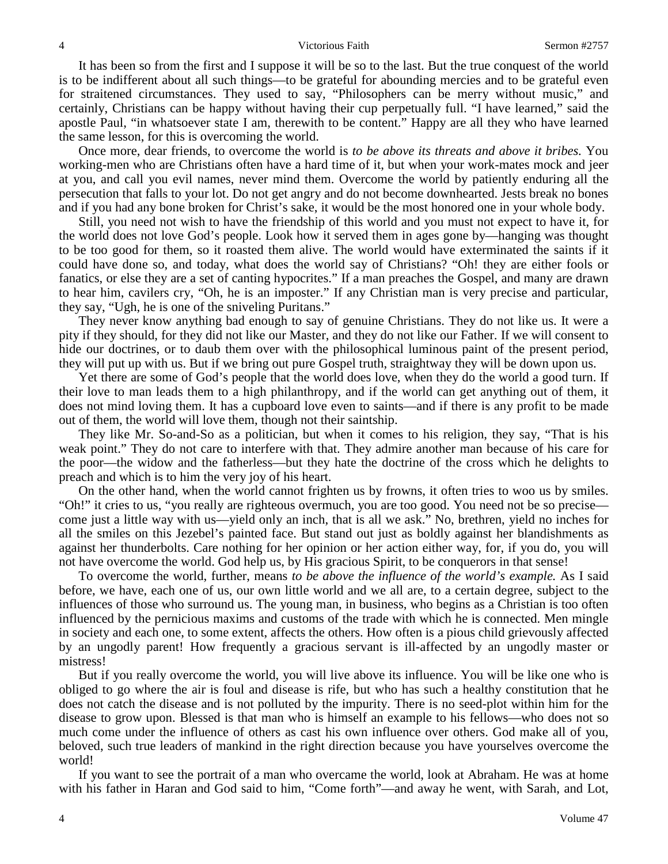## 4 Victorious Faith Sermon #2757

It has been so from the first and I suppose it will be so to the last. But the true conquest of the world is to be indifferent about all such things—to be grateful for abounding mercies and to be grateful even for straitened circumstances. They used to say, "Philosophers can be merry without music," and certainly, Christians can be happy without having their cup perpetually full. "I have learned," said the apostle Paul, "in whatsoever state I am, therewith to be content." Happy are all they who have learned the same lesson, for this is overcoming the world.

Once more, dear friends, to overcome the world is *to be above its threats and above it bribes.* You working-men who are Christians often have a hard time of it, but when your work-mates mock and jeer at you, and call you evil names, never mind them. Overcome the world by patiently enduring all the persecution that falls to your lot. Do not get angry and do not become downhearted. Jests break no bones and if you had any bone broken for Christ's sake, it would be the most honored one in your whole body.

Still, you need not wish to have the friendship of this world and you must not expect to have it, for the world does not love God's people. Look how it served them in ages gone by—hanging was thought to be too good for them, so it roasted them alive. The world would have exterminated the saints if it could have done so, and today, what does the world say of Christians? "Oh! they are either fools or fanatics, or else they are a set of canting hypocrites." If a man preaches the Gospel, and many are drawn to hear him, cavilers cry, "Oh, he is an imposter." If any Christian man is very precise and particular, they say, "Ugh, he is one of the sniveling Puritans."

They never know anything bad enough to say of genuine Christians. They do not like us. It were a pity if they should, for they did not like our Master, and they do not like our Father. If we will consent to hide our doctrines, or to daub them over with the philosophical luminous paint of the present period, they will put up with us. But if we bring out pure Gospel truth, straightway they will be down upon us.

Yet there are some of God's people that the world does love, when they do the world a good turn. If their love to man leads them to a high philanthropy, and if the world can get anything out of them, it does not mind loving them. It has a cupboard love even to saints—and if there is any profit to be made out of them, the world will love them, though not their saintship.

They like Mr. So-and-So as a politician, but when it comes to his religion, they say, "That is his weak point." They do not care to interfere with that. They admire another man because of his care for the poor—the widow and the fatherless—but they hate the doctrine of the cross which he delights to preach and which is to him the very joy of his heart.

On the other hand, when the world cannot frighten us by frowns, it often tries to woo us by smiles. "Oh!" it cries to us, "you really are righteous overmuch, you are too good. You need not be so precise come just a little way with us—yield only an inch, that is all we ask." No, brethren, yield no inches for all the smiles on this Jezebel's painted face. But stand out just as boldly against her blandishments as against her thunderbolts. Care nothing for her opinion or her action either way, for, if you do, you will not have overcome the world. God help us, by His gracious Spirit, to be conquerors in that sense!

To overcome the world, further, means *to be above the influence of the world's example.* As I said before, we have, each one of us, our own little world and we all are, to a certain degree, subject to the influences of those who surround us. The young man, in business, who begins as a Christian is too often influenced by the pernicious maxims and customs of the trade with which he is connected. Men mingle in society and each one, to some extent, affects the others. How often is a pious child grievously affected by an ungodly parent! How frequently a gracious servant is ill-affected by an ungodly master or mistress!

But if you really overcome the world, you will live above its influence. You will be like one who is obliged to go where the air is foul and disease is rife, but who has such a healthy constitution that he does not catch the disease and is not polluted by the impurity. There is no seed-plot within him for the disease to grow upon. Blessed is that man who is himself an example to his fellows—who does not so much come under the influence of others as cast his own influence over others. God make all of you, beloved, such true leaders of mankind in the right direction because you have yourselves overcome the world!

If you want to see the portrait of a man who overcame the world, look at Abraham. He was at home with his father in Haran and God said to him, "Come forth"—and away he went, with Sarah, and Lot,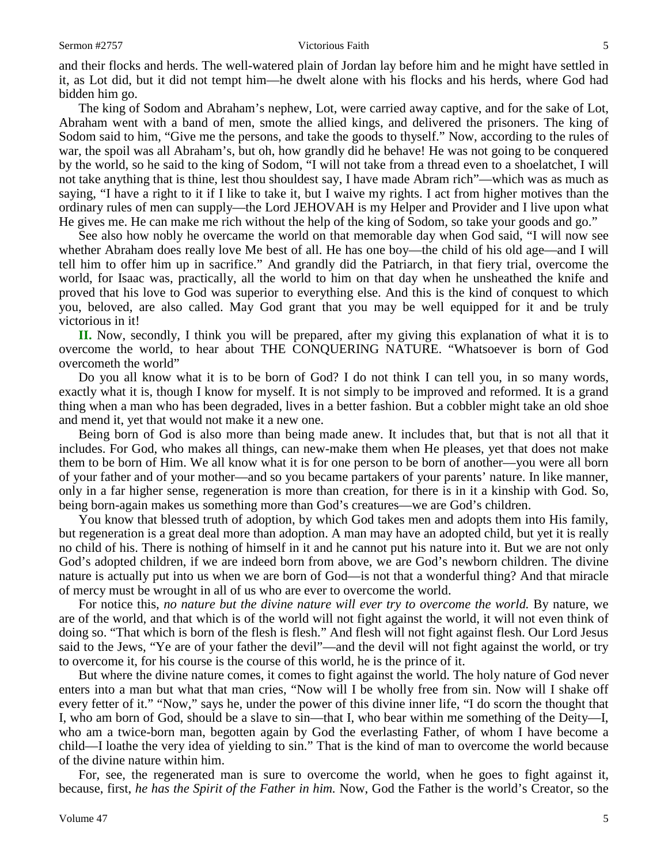and their flocks and herds. The well-watered plain of Jordan lay before him and he might have settled in it, as Lot did, but it did not tempt him—he dwelt alone with his flocks and his herds, where God had bidden him go.

The king of Sodom and Abraham's nephew, Lot, were carried away captive, and for the sake of Lot, Abraham went with a band of men, smote the allied kings, and delivered the prisoners. The king of Sodom said to him, "Give me the persons, and take the goods to thyself." Now, according to the rules of war, the spoil was all Abraham's, but oh, how grandly did he behave! He was not going to be conquered by the world, so he said to the king of Sodom, "I will not take from a thread even to a shoelatchet, I will not take anything that is thine, lest thou shouldest say, I have made Abram rich"—which was as much as saying, "I have a right to it if I like to take it, but I waive my rights. I act from higher motives than the ordinary rules of men can supply—the Lord JEHOVAH is my Helper and Provider and I live upon what He gives me. He can make me rich without the help of the king of Sodom, so take your goods and go."

See also how nobly he overcame the world on that memorable day when God said, "I will now see whether Abraham does really love Me best of all. He has one boy—the child of his old age—and I will tell him to offer him up in sacrifice." And grandly did the Patriarch, in that fiery trial, overcome the world, for Isaac was, practically, all the world to him on that day when he unsheathed the knife and proved that his love to God was superior to everything else. And this is the kind of conquest to which you, beloved, are also called. May God grant that you may be well equipped for it and be truly victorious in it!

**II.** Now, secondly, I think you will be prepared, after my giving this explanation of what it is to overcome the world, to hear about THE CONQUERING NATURE. "Whatsoever is born of God overcometh the world"

Do you all know what it is to be born of God? I do not think I can tell you, in so many words, exactly what it is, though I know for myself. It is not simply to be improved and reformed. It is a grand thing when a man who has been degraded, lives in a better fashion. But a cobbler might take an old shoe and mend it, yet that would not make it a new one.

Being born of God is also more than being made anew. It includes that, but that is not all that it includes. For God, who makes all things, can new-make them when He pleases, yet that does not make them to be born of Him. We all know what it is for one person to be born of another—you were all born of your father and of your mother—and so you became partakers of your parents' nature. In like manner, only in a far higher sense, regeneration is more than creation, for there is in it a kinship with God. So, being born-again makes us something more than God's creatures—we are God's children.

You know that blessed truth of adoption, by which God takes men and adopts them into His family, but regeneration is a great deal more than adoption. A man may have an adopted child, but yet it is really no child of his. There is nothing of himself in it and he cannot put his nature into it. But we are not only God's adopted children, if we are indeed born from above, we are God's newborn children. The divine nature is actually put into us when we are born of God—is not that a wonderful thing? And that miracle of mercy must be wrought in all of us who are ever to overcome the world.

For notice this, *no nature but the divine nature will ever try to overcome the world.* By nature, we are of the world, and that which is of the world will not fight against the world, it will not even think of doing so. "That which is born of the flesh is flesh." And flesh will not fight against flesh. Our Lord Jesus said to the Jews, "Ye are of your father the devil"—and the devil will not fight against the world, or try to overcome it, for his course is the course of this world, he is the prince of it.

But where the divine nature comes, it comes to fight against the world. The holy nature of God never enters into a man but what that man cries, "Now will I be wholly free from sin. Now will I shake off every fetter of it." "Now," says he, under the power of this divine inner life, "I do scorn the thought that I, who am born of God, should be a slave to sin—that I, who bear within me something of the Deity—I, who am a twice-born man, begotten again by God the everlasting Father, of whom I have become a child—I loathe the very idea of yielding to sin." That is the kind of man to overcome the world because of the divine nature within him.

For, see, the regenerated man is sure to overcome the world, when he goes to fight against it, because, first, *he has the Spirit of the Father in him.* Now, God the Father is the world's Creator, so the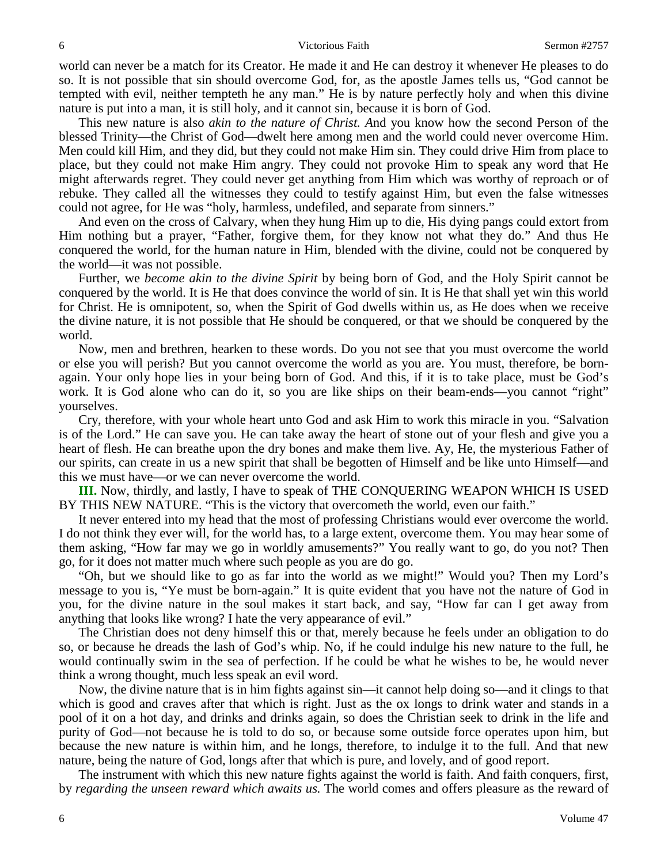world can never be a match for its Creator. He made it and He can destroy it whenever He pleases to do so. It is not possible that sin should overcome God, for, as the apostle James tells us, "God cannot be tempted with evil, neither tempteth he any man." He is by nature perfectly holy and when this divine nature is put into a man, it is still holy, and it cannot sin, because it is born of God.

This new nature is also *akin to the nature of Christ. A*nd you know how the second Person of the blessed Trinity—the Christ of God—dwelt here among men and the world could never overcome Him. Men could kill Him, and they did, but they could not make Him sin. They could drive Him from place to place, but they could not make Him angry. They could not provoke Him to speak any word that He might afterwards regret. They could never get anything from Him which was worthy of reproach or of rebuke. They called all the witnesses they could to testify against Him, but even the false witnesses could not agree, for He was "holy*,* harmless, undefiled, and separate from sinners."

And even on the cross of Calvary, when they hung Him up to die, His dying pangs could extort from Him nothing but a prayer, "Father, forgive them, for they know not what they do." And thus He conquered the world, for the human nature in Him, blended with the divine, could not be conquered by the world—it was not possible.

Further, we *become akin to the divine Spirit* by being born of God, and the Holy Spirit cannot be conquered by the world. It is He that does convince the world of sin. It is He that shall yet win this world for Christ. He is omnipotent, so, when the Spirit of God dwells within us, as He does when we receive the divine nature, it is not possible that He should be conquered, or that we should be conquered by the world.

Now, men and brethren, hearken to these words. Do you not see that you must overcome the world or else you will perish? But you cannot overcome the world as you are. You must, therefore, be bornagain. Your only hope lies in your being born of God. And this, if it is to take place, must be God's work. It is God alone who can do it, so you are like ships on their beam-ends—you cannot "right" yourselves.

Cry, therefore, with your whole heart unto God and ask Him to work this miracle in you. "Salvation is of the Lord." He can save you. He can take away the heart of stone out of your flesh and give you a heart of flesh. He can breathe upon the dry bones and make them live. Ay, He, the mysterious Father of our spirits, can create in us a new spirit that shall be begotten of Himself and be like unto Himself—and this we must have—or we can never overcome the world.

**III.** Now, thirdly, and lastly, I have to speak of THE CONQUERING WEAPON WHICH IS USED BY THIS NEW NATURE. "This is the victory that overcometh the world, even our faith."

It never entered into my head that the most of professing Christians would ever overcome the world. I do not think they ever will, for the world has, to a large extent, overcome them. You may hear some of them asking, "How far may we go in worldly amusements?" You really want to go, do you not? Then go, for it does not matter much where such people as you are do go.

"Oh, but we should like to go as far into the world as we might!" Would you? Then my Lord's message to you is, "Ye must be born-again." It is quite evident that you have not the nature of God in you, for the divine nature in the soul makes it start back, and say, "How far can I get away from anything that looks like wrong? I hate the very appearance of evil."

The Christian does not deny himself this or that, merely because he feels under an obligation to do so, or because he dreads the lash of God's whip. No, if he could indulge his new nature to the full, he would continually swim in the sea of perfection. If he could be what he wishes to be, he would never think a wrong thought, much less speak an evil word.

Now, the divine nature that is in him fights against sin—it cannot help doing so—and it clings to that which is good and craves after that which is right. Just as the ox longs to drink water and stands in a pool of it on a hot day, and drinks and drinks again, so does the Christian seek to drink in the life and purity of God—not because he is told to do so, or because some outside force operates upon him, but because the new nature is within him, and he longs, therefore, to indulge it to the full. And that new nature, being the nature of God, longs after that which is pure, and lovely, and of good report.

The instrument with which this new nature fights against the world is faith. And faith conquers, first, by *regarding the unseen reward which awaits us.* The world comes and offers pleasure as the reward of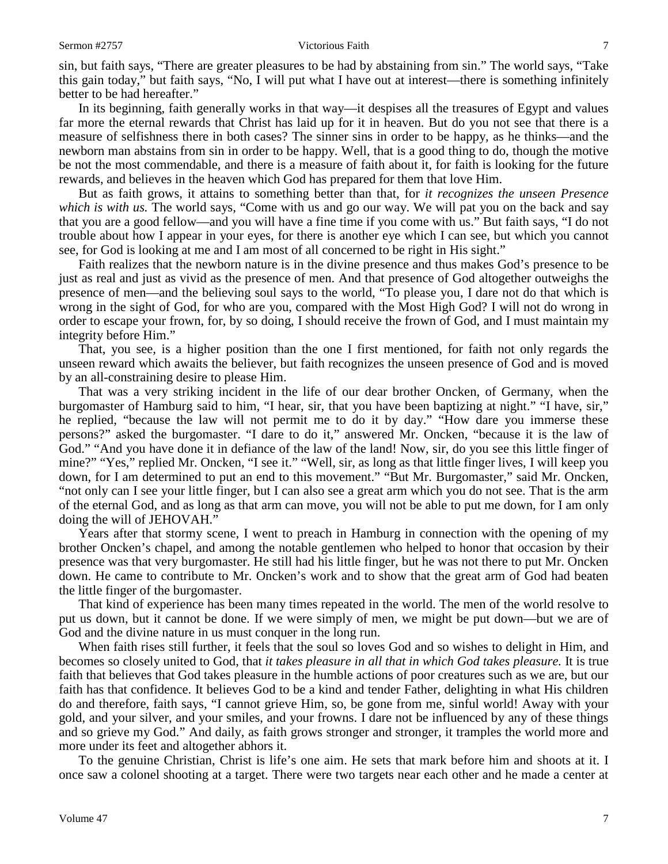sin, but faith says, "There are greater pleasures to be had by abstaining from sin." The world says, "Take this gain today," but faith says, "No, I will put what I have out at interest—there is something infinitely better to be had hereafter."

In its beginning, faith generally works in that way—it despises all the treasures of Egypt and values far more the eternal rewards that Christ has laid up for it in heaven. But do you not see that there is a measure of selfishness there in both cases? The sinner sins in order to be happy, as he thinks—and the newborn man abstains from sin in order to be happy. Well, that is a good thing to do, though the motive be not the most commendable, and there is a measure of faith about it, for faith is looking for the future rewards, and believes in the heaven which God has prepared for them that love Him.

But as faith grows, it attains to something better than that, for *it recognizes the unseen Presence which is with us.* The world says, "Come with us and go our way. We will pat you on the back and say that you are a good fellow—and you will have a fine time if you come with us." But faith says, "I do not trouble about how I appear in your eyes, for there is another eye which I can see, but which you cannot see, for God is looking at me and I am most of all concerned to be right in His sight."

Faith realizes that the newborn nature is in the divine presence and thus makes God's presence to be just as real and just as vivid as the presence of men. And that presence of God altogether outweighs the presence of men—and the believing soul says to the world, "To please you, I dare not do that which is wrong in the sight of God, for who are you, compared with the Most High God? I will not do wrong in order to escape your frown, for, by so doing, I should receive the frown of God, and I must maintain my integrity before Him."

That, you see, is a higher position than the one I first mentioned, for faith not only regards the unseen reward which awaits the believer, but faith recognizes the unseen presence of God and is moved by an all-constraining desire to please Him.

That was a very striking incident in the life of our dear brother Oncken, of Germany, when the burgomaster of Hamburg said to him, "I hear, sir, that you have been baptizing at night." "I have, sir," he replied, "because the law will not permit me to do it by day." "How dare you immerse these persons?" asked the burgomaster. "I dare to do it," answered Mr. Oncken, "because it is the law of God." "And you have done it in defiance of the law of the land! Now, sir, do you see this little finger of mine?" "Yes," replied Mr. Oncken, "I see it." "Well, sir, as long as that little finger lives, I will keep you down, for I am determined to put an end to this movement." "But Mr. Burgomaster," said Mr. Oncken, "not only can I see your little finger, but I can also see a great arm which you do not see. That is the arm of the eternal God, and as long as that arm can move, you will not be able to put me down, for I am only doing the will of JEHOVAH."

Years after that stormy scene, I went to preach in Hamburg in connection with the opening of my brother Oncken's chapel, and among the notable gentlemen who helped to honor that occasion by their presence was that very burgomaster. He still had his little finger, but he was not there to put Mr. Oncken down. He came to contribute to Mr. Oncken's work and to show that the great arm of God had beaten the little finger of the burgomaster.

That kind of experience has been many times repeated in the world. The men of the world resolve to put us down, but it cannot be done. If we were simply of men, we might be put down—but we are of God and the divine nature in us must conquer in the long run.

When faith rises still further, it feels that the soul so loves God and so wishes to delight in Him, and becomes so closely united to God, that *it takes pleasure in all that in which God takes pleasure.* It is true faith that believes that God takes pleasure in the humble actions of poor creatures such as we are, but our faith has that confidence. It believes God to be a kind and tender Father, delighting in what His children do and therefore, faith says, "I cannot grieve Him, so, be gone from me, sinful world! Away with your gold, and your silver, and your smiles, and your frowns. I dare not be influenced by any of these things and so grieve my God." And daily, as faith grows stronger and stronger, it tramples the world more and more under its feet and altogether abhors it.

To the genuine Christian, Christ is life's one aim. He sets that mark before him and shoots at it. I once saw a colonel shooting at a target. There were two targets near each other and he made a center at